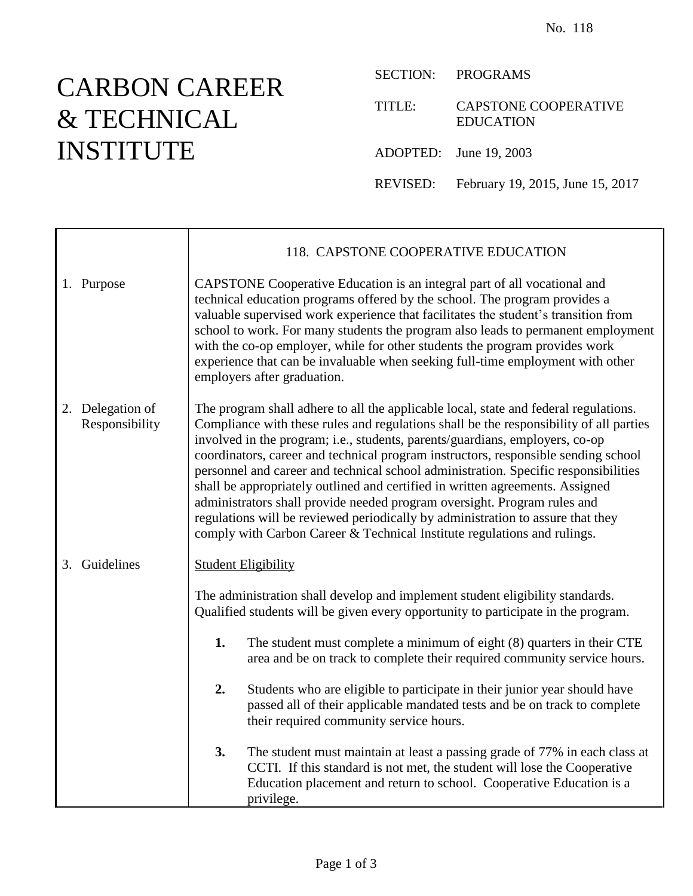## CARBON CAREER & TECHNICAL INSTITUTE

SECTION: PROGRAMS

TITLE: CAPSTONE COOPERATIVE EDUCATION

ADOPTED: June 19, 2003

REVISED: February 19, 2015, June 15, 2017

|                                    | 118. CAPSTONE COOPERATIVE EDUCATION                                                                                                                                                                                                                                                                                                                                                                                                                                                                                                                                                                                                                                                                                                                                     |  |  |
|------------------------------------|-------------------------------------------------------------------------------------------------------------------------------------------------------------------------------------------------------------------------------------------------------------------------------------------------------------------------------------------------------------------------------------------------------------------------------------------------------------------------------------------------------------------------------------------------------------------------------------------------------------------------------------------------------------------------------------------------------------------------------------------------------------------------|--|--|
| 1. Purpose                         | CAPSTONE Cooperative Education is an integral part of all vocational and<br>technical education programs offered by the school. The program provides a<br>valuable supervised work experience that facilitates the student's transition from<br>school to work. For many students the program also leads to permanent employment<br>with the co-op employer, while for other students the program provides work<br>experience that can be invaluable when seeking full-time employment with other<br>employers after graduation.                                                                                                                                                                                                                                        |  |  |
| 2. Delegation of<br>Responsibility | The program shall adhere to all the applicable local, state and federal regulations.<br>Compliance with these rules and regulations shall be the responsibility of all parties<br>involved in the program; i.e., students, parents/guardians, employers, co-op<br>coordinators, career and technical program instructors, responsible sending school<br>personnel and career and technical school administration. Specific responsibilities<br>shall be appropriately outlined and certified in written agreements. Assigned<br>administrators shall provide needed program oversight. Program rules and<br>regulations will be reviewed periodically by administration to assure that they<br>comply with Carbon Career & Technical Institute regulations and rulings. |  |  |
| 3. Guidelines                      | <b>Student Eligibility</b>                                                                                                                                                                                                                                                                                                                                                                                                                                                                                                                                                                                                                                                                                                                                              |  |  |
|                                    | The administration shall develop and implement student eligibility standards.<br>Qualified students will be given every opportunity to participate in the program.                                                                                                                                                                                                                                                                                                                                                                                                                                                                                                                                                                                                      |  |  |
|                                    | 1.<br>The student must complete a minimum of eight (8) quarters in their CTE<br>area and be on track to complete their required community service hours.                                                                                                                                                                                                                                                                                                                                                                                                                                                                                                                                                                                                                |  |  |
|                                    | 2.<br>Students who are eligible to participate in their junior year should have<br>passed all of their applicable mandated tests and be on track to complete<br>their required community service hours.                                                                                                                                                                                                                                                                                                                                                                                                                                                                                                                                                                 |  |  |
|                                    | 3.<br>The student must maintain at least a passing grade of 77% in each class at<br>CCTI. If this standard is not met, the student will lose the Cooperative<br>Education placement and return to school. Cooperative Education is a<br>privilege.                                                                                                                                                                                                                                                                                                                                                                                                                                                                                                                      |  |  |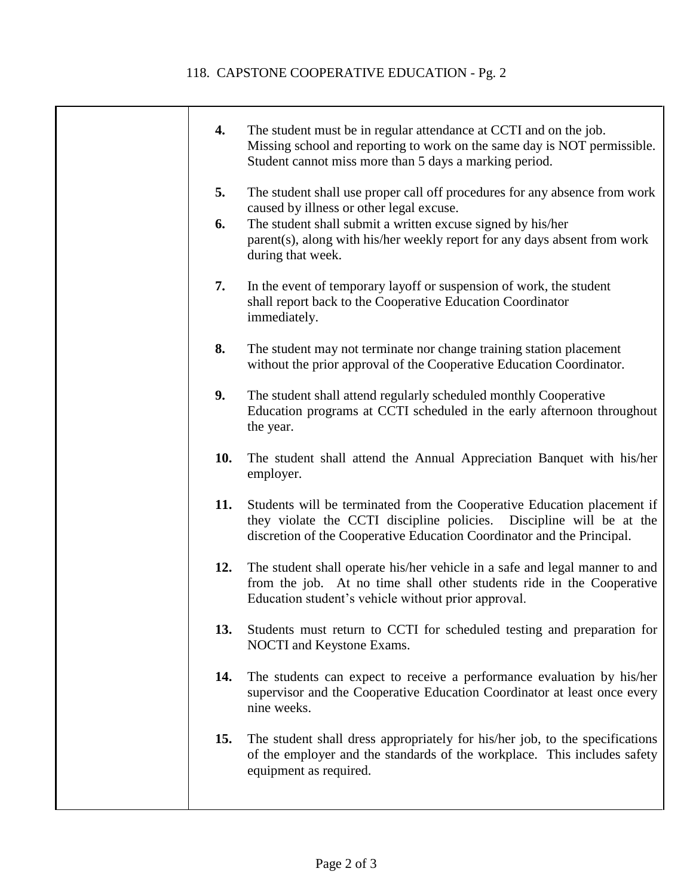## 118. CAPSTONE COOPERATIVE EDUCATION - Pg. 2

 $\top$ 

| 4.  | The student must be in regular attendance at CCTI and on the job.<br>Missing school and reporting to work on the same day is NOT permissible.<br>Student cannot miss more than 5 days a marking period.                   |
|-----|---------------------------------------------------------------------------------------------------------------------------------------------------------------------------------------------------------------------------|
| 5.  | The student shall use proper call off procedures for any absence from work                                                                                                                                                |
| 6.  | caused by illness or other legal excuse.<br>The student shall submit a written excuse signed by his/her<br>parent(s), along with his/her weekly report for any days absent from work<br>during that week.                 |
| 7.  | In the event of temporary layoff or suspension of work, the student<br>shall report back to the Cooperative Education Coordinator<br>immediately.                                                                         |
| 8.  | The student may not terminate nor change training station placement<br>without the prior approval of the Cooperative Education Coordinator.                                                                               |
| 9.  | The student shall attend regularly scheduled monthly Cooperative<br>Education programs at CCTI scheduled in the early afternoon throughout<br>the year.                                                                   |
| 10. | The student shall attend the Annual Appreciation Banquet with his/her<br>employer.                                                                                                                                        |
| 11. | Students will be terminated from the Cooperative Education placement if<br>they violate the CCTI discipline policies. Discipline will be at the<br>discretion of the Cooperative Education Coordinator and the Principal. |
| 12. | The student shall operate his/her vehicle in a safe and legal manner to and<br>from the job. At no time shall other students ride in the Cooperative<br>Education student's vehicle without prior approval.               |
| 13. | Students must return to CCTI for scheduled testing and preparation for<br>NOCTI and Keystone Exams.                                                                                                                       |
| 14. | The students can expect to receive a performance evaluation by his/her<br>supervisor and the Cooperative Education Coordinator at least once every<br>nine weeks.                                                         |
| 15. | The student shall dress appropriately for his/her job, to the specifications<br>of the employer and the standards of the workplace. This includes safety<br>equipment as required.                                        |
|     |                                                                                                                                                                                                                           |